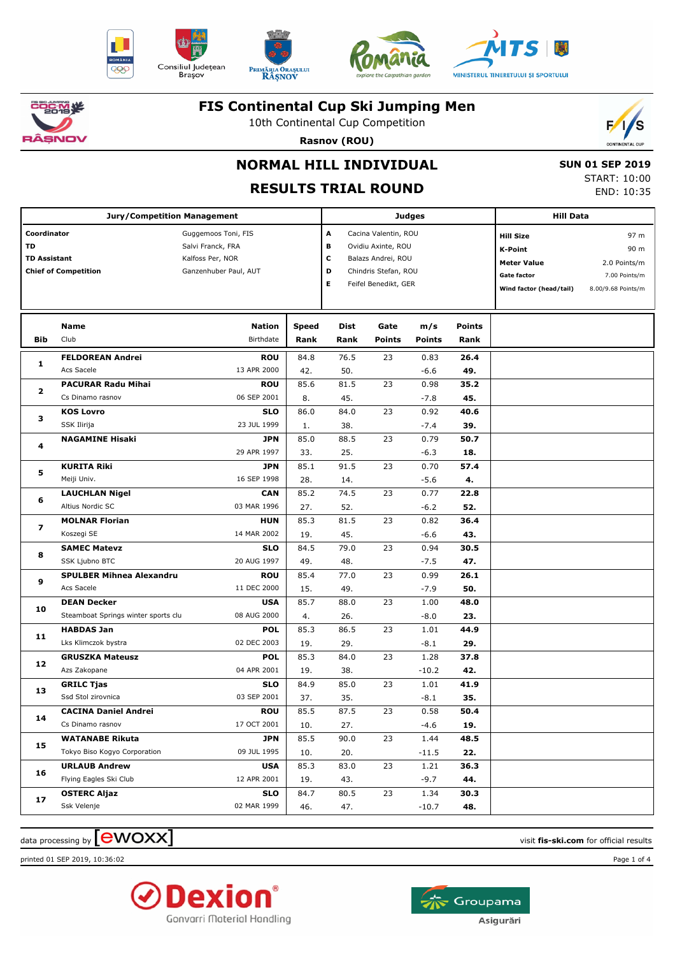











10th Continental Cup Competition



**Rasnov (ROU)**

# **NORMAL HILL INDIVIDUAL**

## **RESULTS TRIAL ROUND**

 **SUN 01 SEP 2019** START: 10:00 END: 10:35

|                                          | <b>Jury/Competition Management</b>  |                                                                                       |                                                                                             |      |                                                                                                                                                                                                                                | <b>Judges</b>                                                                            |               |                                                                                                           |                                                                     |
|------------------------------------------|-------------------------------------|---------------------------------------------------------------------------------------|---------------------------------------------------------------------------------------------|------|--------------------------------------------------------------------------------------------------------------------------------------------------------------------------------------------------------------------------------|------------------------------------------------------------------------------------------|---------------|-----------------------------------------------------------------------------------------------------------|---------------------------------------------------------------------|
| Coordinator<br>TD<br><b>TD Assistant</b> | <b>Chief of Competition</b>         | Guggemoos Toni, FIS<br>Salvi Franck, FRA<br>Kalfoss Per, NOR<br>Ganzenhuber Paul, AUT | Α<br>в<br>с<br>D                                                                            |      |                                                                                                                                                                                                                                | Cacina Valentin, ROU<br>Ovidiu Axinte, ROU<br>Balazs Andrei, ROU<br>Chindris Stefan, ROU |               | <b>Hill Size</b><br><b>K-Point</b><br><b>Meter Value</b><br><b>Gate factor</b><br>Wind factor (head/tail) | 97 m<br>90 m<br>2.0 Points/m<br>7.00 Points/m<br>8.00/9.68 Points/m |
|                                          | <b>Name</b>                         | Nation                                                                                | <b>Speed</b>                                                                                |      |                                                                                                                                                                                                                                | m/s                                                                                      | <b>Points</b> |                                                                                                           |                                                                     |
| Bib                                      | Club                                | Birthdate                                                                             | Rank                                                                                        | Rank | <b>Points</b>                                                                                                                                                                                                                  | <b>Points</b>                                                                            | Rank          |                                                                                                           |                                                                     |
|                                          | <b>FELDOREAN Andrei</b>             | <b>ROU</b>                                                                            | 84.8                                                                                        | 76.5 | 23                                                                                                                                                                                                                             | 0.83                                                                                     | 26.4          |                                                                                                           |                                                                     |
| 1                                        | Acs Sacele                          | 13 APR 2000                                                                           | 42.                                                                                         | 50.  |                                                                                                                                                                                                                                | $-6.6$                                                                                   | 49.           |                                                                                                           |                                                                     |
|                                          | <b>PACURAR Radu Mihai</b>           | <b>ROU</b>                                                                            | 85.6                                                                                        | 81.5 | 23                                                                                                                                                                                                                             | 0.98                                                                                     | 35.2          |                                                                                                           |                                                                     |
| 2                                        | Cs Dinamo rasnov                    | 06 SEP 2001                                                                           | 8.                                                                                          | 45.  |                                                                                                                                                                                                                                | $-7.8$                                                                                   | 45.           |                                                                                                           |                                                                     |
|                                          | <b>KOS Lovro</b>                    | <b>SLO</b>                                                                            | 86.0                                                                                        | 84.0 | 23                                                                                                                                                                                                                             | 0.92                                                                                     | 40.6          |                                                                                                           |                                                                     |
| з                                        | SSK Ilirija                         | 23 JUL 1999                                                                           | 1.                                                                                          | 38.  |                                                                                                                                                                                                                                | $-7.4$                                                                                   | 39.           | <b>Hill Data</b>                                                                                          |                                                                     |
| 4                                        | <b>NAGAMINE Hisaki</b>              | <b>JPN</b>                                                                            | 85.0                                                                                        | 88.5 | 23                                                                                                                                                                                                                             | 0.79                                                                                     | 50.7          |                                                                                                           |                                                                     |
|                                          |                                     | 29 APR 1997                                                                           | 33.                                                                                         | 25.  |                                                                                                                                                                                                                                | $-6.3$                                                                                   | 18.           |                                                                                                           |                                                                     |
| 5                                        | <b>KURITA Riki</b>                  | <b>JPN</b>                                                                            | 85.1                                                                                        | 91.5 | 23                                                                                                                                                                                                                             | 0.70                                                                                     | 57.4          |                                                                                                           |                                                                     |
|                                          | Meiji Univ.                         | 16 SEP 1998                                                                           | 28.<br><b>CAN</b><br>85.2<br>03 MAR 1996<br>27.<br><b>HUN</b><br>85.3<br>14 MAR 2002<br>19. | 14.  |                                                                                                                                                                                                                                | $-5.6$                                                                                   | 4.            |                                                                                                           |                                                                     |
| 6                                        | <b>LAUCHLAN Nigel</b>               |                                                                                       |                                                                                             | 74.5 | Е<br>Feifel Benedikt, GER<br>Dist<br>Gate<br>23<br>52.<br>81.5<br>23<br>45.<br>79.0<br>23<br>48.<br>23<br>77.0<br>49.<br>23<br>88.0<br>26.<br>86.5<br>23<br>29.<br>23<br>84.0<br>38.<br>85.0<br>23<br>35.<br>23<br>87.5<br>27. | 0.77                                                                                     | 22.8          |                                                                                                           |                                                                     |
|                                          | Altius Nordic SC                    |                                                                                       |                                                                                             |      |                                                                                                                                                                                                                                | $-6.2$                                                                                   | 52.           |                                                                                                           |                                                                     |
| $\overline{\phantom{a}}$                 | <b>MOLNAR Florian</b>               |                                                                                       |                                                                                             |      |                                                                                                                                                                                                                                | 0.82                                                                                     | 36.4          |                                                                                                           |                                                                     |
|                                          | Koszegi SE                          |                                                                                       |                                                                                             |      |                                                                                                                                                                                                                                | $-6.6$                                                                                   | 43.           |                                                                                                           |                                                                     |
| 8                                        | <b>SAMEC Matevz</b>                 | <b>SLO</b>                                                                            | 84.5                                                                                        |      |                                                                                                                                                                                                                                | 0.94                                                                                     | 30.5          |                                                                                                           |                                                                     |
|                                          | SSK Ljubno BTC                      | 20 AUG 1997                                                                           | 49.                                                                                         |      |                                                                                                                                                                                                                                | $-7.5$                                                                                   | 47.           |                                                                                                           |                                                                     |
| 9                                        | <b>SPULBER Mihnea Alexandru</b>     | <b>ROU</b>                                                                            | 85.4                                                                                        |      |                                                                                                                                                                                                                                | 0.99                                                                                     | 26.1          |                                                                                                           |                                                                     |
|                                          | Acs Sacele                          | 11 DEC 2000                                                                           | 15.                                                                                         |      |                                                                                                                                                                                                                                | $-7.9$                                                                                   | 50.           |                                                                                                           |                                                                     |
| 10                                       | <b>DEAN Decker</b>                  | <b>USA</b>                                                                            | 85.7                                                                                        |      |                                                                                                                                                                                                                                | 1.00                                                                                     | 48.0          |                                                                                                           |                                                                     |
|                                          | Steamboat Springs winter sports clu | 08 AUG 2000                                                                           | 4.                                                                                          |      |                                                                                                                                                                                                                                | $-8.0$                                                                                   | 23.           |                                                                                                           |                                                                     |
| 11                                       | <b>HABDAS Jan</b>                   | <b>POL</b>                                                                            | 85.3                                                                                        |      |                                                                                                                                                                                                                                | 1.01                                                                                     | 44.9          |                                                                                                           |                                                                     |
|                                          | Lks Klimczok bystra                 | 02 DEC 2003                                                                           | 19.                                                                                         |      |                                                                                                                                                                                                                                | $-8.1$                                                                                   | 29.           |                                                                                                           |                                                                     |
| 12                                       | <b>GRUSZKA Mateusz</b>              | <b>POL</b>                                                                            | 85.3                                                                                        |      |                                                                                                                                                                                                                                | 1.28                                                                                     | 37.8          |                                                                                                           |                                                                     |
|                                          | Azs Zakopane                        | 04 APR 2001                                                                           | 19.                                                                                         |      |                                                                                                                                                                                                                                | $-10.2$                                                                                  | 42.           |                                                                                                           |                                                                     |
| 13                                       | <b>GRILC Tjas</b>                   | <b>SLO</b>                                                                            | 84.9                                                                                        |      |                                                                                                                                                                                                                                | 1.01                                                                                     | 41.9          |                                                                                                           |                                                                     |
|                                          | Ssd Stol zirovnica                  | 03 SEP 2001                                                                           | 37.                                                                                         |      |                                                                                                                                                                                                                                | $-8.1$                                                                                   | 35.           |                                                                                                           |                                                                     |
| 14                                       | <b>CACINA Daniel Andrei</b>         | <b>ROU</b>                                                                            | 85.5                                                                                        |      |                                                                                                                                                                                                                                | 0.58                                                                                     | 50.4          |                                                                                                           |                                                                     |
|                                          | Cs Dinamo rasnov                    | 17 OCT 2001                                                                           | 10.                                                                                         |      |                                                                                                                                                                                                                                | $-4.6$                                                                                   | 19.           |                                                                                                           |                                                                     |
| 15                                       | <b>WATANABE Rikuta</b>              | <b>JPN</b>                                                                            | 85.5                                                                                        | 90.0 | 23                                                                                                                                                                                                                             | 1.44                                                                                     | 48.5          |                                                                                                           |                                                                     |
|                                          | Tokyo Biso Kogyo Corporation        | 09 JUL 1995                                                                           | 10.                                                                                         | 20.  |                                                                                                                                                                                                                                | -11.5                                                                                    | 22.           |                                                                                                           |                                                                     |
| 16                                       | <b>URLAUB Andrew</b>                | <b>USA</b>                                                                            | 85.3                                                                                        | 83.0 | 23                                                                                                                                                                                                                             | 1.21                                                                                     | 36.3          |                                                                                                           |                                                                     |
|                                          | Flying Eagles Ski Club              | 12 APR 2001                                                                           | 19.                                                                                         | 43.  |                                                                                                                                                                                                                                | $-9.7$                                                                                   | 44.           |                                                                                                           |                                                                     |
| 17                                       | <b>OSTERC Aljaz</b>                 | <b>SLO</b>                                                                            | 84.7                                                                                        | 80.5 | 23                                                                                                                                                                                                                             | 1.34                                                                                     | 30.3          |                                                                                                           |                                                                     |
|                                          | Ssk Velenje                         | 02 MAR 1999                                                                           | 46.                                                                                         | 47.  |                                                                                                                                                                                                                                | $-10.7$                                                                                  | 48.           |                                                                                                           |                                                                     |

 $\alpha$  data processing by  $\boxed{\text{ewOX}}$ 

printed 01 SEP 2019, 10:36:02 Page 1 of 4



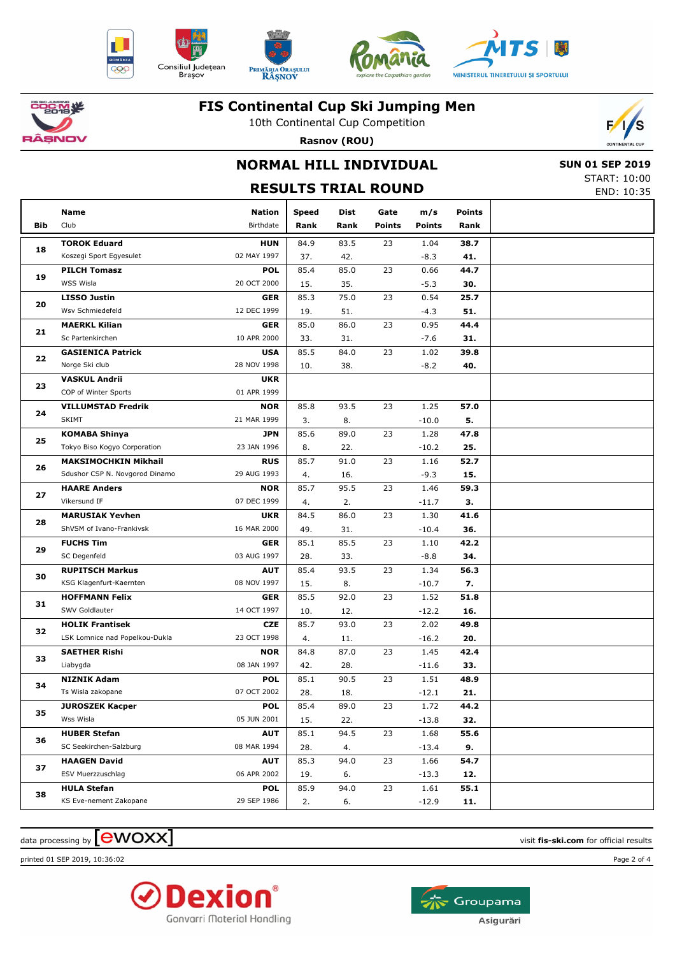











10th Continental Cup Competition

**Rasnov (ROU)**



## **NORMAL HILL INDIVIDUAL RESULTS TRIAL ROUND**

 **SUN 01 SEP 2019** START: 10:00 END: 10:35

|     | Name                           | Nation      | <b>Speed</b> | Dist                                                                        | Gate          | m/s           | <b>Points</b> |  |
|-----|--------------------------------|-------------|--------------|-----------------------------------------------------------------------------|---------------|---------------|---------------|--|
| Bib | Club                           | Birthdate   | Rank         | Rank                                                                        | <b>Points</b> | <b>Points</b> | Rank          |  |
|     | <b>TOROK Eduard</b>            | <b>HUN</b>  | 84.9         | 83.5                                                                        | 23            | 1.04          | 38.7          |  |
| 18  | Koszegi Sport Egyesulet        | 02 MAY 1997 | 37.          | 42.                                                                         |               | $-8.3$        | 41.           |  |
|     | <b>PILCH Tomasz</b>            | <b>POL</b>  | 85.4         | 85.0                                                                        | 23            | 0.66          | 44.7          |  |
| 19  | WSS Wisla                      | 20 OCT 2000 | 15.          | 35.                                                                         |               | $-5.3$        | 30.           |  |
|     | <b>LISSO Justin</b>            | <b>GER</b>  | 85.3         | 75.0                                                                        | 23            | 0.54          | 25.7          |  |
| 20  | Wsv Schmiedefeld               | 12 DEC 1999 | 19.          | 51.                                                                         |               | $-4.3$        | 51.           |  |
|     | <b>MAERKL Kilian</b>           | <b>GER</b>  | 85.0         | 86.0                                                                        | 23            | 0.95          | 44.4          |  |
| 21  | Sc Partenkirchen               | 10 APR 2000 | 33.          | 31.                                                                         |               | -7.6          | 31.           |  |
|     | <b>GASIENICA Patrick</b>       | <b>USA</b>  | 85.5         | 84.0                                                                        | 23            | 1.02          | 39.8          |  |
| 22  | Norge Ski club                 | 28 NOV 1998 | 10.          | 38.                                                                         |               | $-8.2$        | 40.           |  |
|     | <b>VASKUL Andrii</b>           | <b>UKR</b>  |              |                                                                             |               |               |               |  |
| 23  | COP of Winter Sports           | 01 APR 1999 |              |                                                                             |               |               |               |  |
|     | <b>VILLUMSTAD Fredrik</b>      | <b>NOR</b>  | 85.8         | 93.5                                                                        | 23            | 1.25          | 57.0          |  |
| 24  | <b>SKIMT</b>                   | 21 MAR 1999 | 3.           | 8.                                                                          |               | $-10.0$       | 5.            |  |
|     | <b>KOMABA Shinya</b>           | <b>JPN</b>  | 85.6         | 89.0                                                                        | 23            | 1.28          | 47.8          |  |
| 25  | Tokyo Biso Kogyo Corporation   | 23 JAN 1996 | 8.           | 22.                                                                         |               | $-10.2$       | 25.           |  |
|     | <b>MAKSIMOCHKIN Mikhail</b>    | <b>RUS</b>  | 85.7         | 91.0                                                                        | 23            | 1.16          | 52.7          |  |
| 26  | Sdushor CSP N. Novgorod Dinamo | 29 AUG 1993 | 4.           | 16.                                                                         |               | $-9.3$        | 15.           |  |
|     | <b>HAARE Anders</b>            | <b>NOR</b>  | 85.7         | 95.5                                                                        | 23            | 1.46          | 59.3          |  |
| 27  | Vikersund IF                   | 07 DEC 1999 | 4.           | 2.                                                                          |               | $-11.7$       | З.            |  |
|     | <b>MARUSIAK Yevhen</b>         | <b>UKR</b>  | 84.5         | 86.0                                                                        | 23            | 1.30          | 41.6          |  |
| 28  | ShVSM of Ivano-Frankivsk       | 16 MAR 2000 | 49.          | 31.<br>$-10.4$<br>36.<br>85.5<br>23<br>1.10<br>42.2<br>33.<br>$-8.8$<br>34. |               |               |               |  |
|     | <b>FUCHS Tim</b>               | <b>GER</b>  | 85.1         |                                                                             |               |               |               |  |
| 29  | SC Degenfeld                   | 03 AUG 1997 | 28.          |                                                                             |               |               |               |  |
| 30  | <b>RUPITSCH Markus</b>         | <b>AUT</b>  | 85.4         | 93.5                                                                        | 23            | 1.34          | 56.3          |  |
|     | KSG Klagenfurt-Kaernten        | 08 NOV 1997 | 15.          | 8.                                                                          |               | $-10.7$       | 7.            |  |
| 31  | <b>HOFFMANN Felix</b>          | <b>GER</b>  | 85.5         | 92.0                                                                        | 23            | 1.52          | 51.8          |  |
|     | SWV Goldlauter                 | 14 OCT 1997 | 10.          | 12.                                                                         |               | $-12.2$       | 16.           |  |
| 32  | <b>HOLIK Frantisek</b>         | <b>CZE</b>  | 85.7         | 93.0                                                                        | 23            | 2.02          | 49.8          |  |
|     | LSK Lomnice nad Popelkou-Dukla | 23 OCT 1998 | 4.           | 11.                                                                         |               | $-16.2$       | 20.           |  |
| 33  | <b>SAETHER Rishi</b>           | <b>NOR</b>  | 84.8         | 87.0                                                                        | 23            | 1.45          | 42.4          |  |
|     | Liabygda                       | 08 JAN 1997 | 42.          | 28.                                                                         |               | $-11.6$       | 33.           |  |
| 34  | <b>NIZNIK Adam</b>             | <b>POL</b>  | 85.1         | 90.5                                                                        | 23            | 1.51          | 48.9          |  |
|     | Ts Wisla zakopane              | 07 OCT 2002 | 28.          | 18.                                                                         |               | $-12.1$       | 21.           |  |
| 35  | <b>JUROSZEK Kacper</b>         | <b>POL</b>  | 85.4         | 89.0                                                                        | 23            | 1.72          | 44.2          |  |
|     | Wss Wisla                      | 05 JUN 2001 | 15.          | 22.                                                                         |               | $-13.8$       | 32.           |  |
| 36  | <b>HUBER Stefan</b>            | <b>AUT</b>  | 85.1         | 94.5                                                                        | 23            | 1.68          | 55.6          |  |
|     | SC Seekirchen-Salzburg         | 08 MAR 1994 | 28.          | 4.                                                                          |               | $-13.4$       | 9.            |  |
| 37  | <b>HAAGEN David</b>            | <b>AUT</b>  | 85.3         | 94.0                                                                        | 23            | 1.66          | 54.7          |  |
|     | ESV Muerzzuschlag              | 06 APR 2002 | 19.          | 6.                                                                          |               | $-13.3$       | 12.           |  |
| 38  | <b>HULA Stefan</b>             | <b>POL</b>  | 85.9         | 94.0                                                                        | 23            | 1.61          | 55.1          |  |
|     | KS Eve-nement Zakopane         | 29 SEP 1986 | 2.           | 6.                                                                          |               | $-12.9$       | 11.           |  |

 $\alpha$  data processing by  $\boxed{\text{ewOX}}$ 

printed 01 SEP 2019, 10:36:02 Page 2 of 4



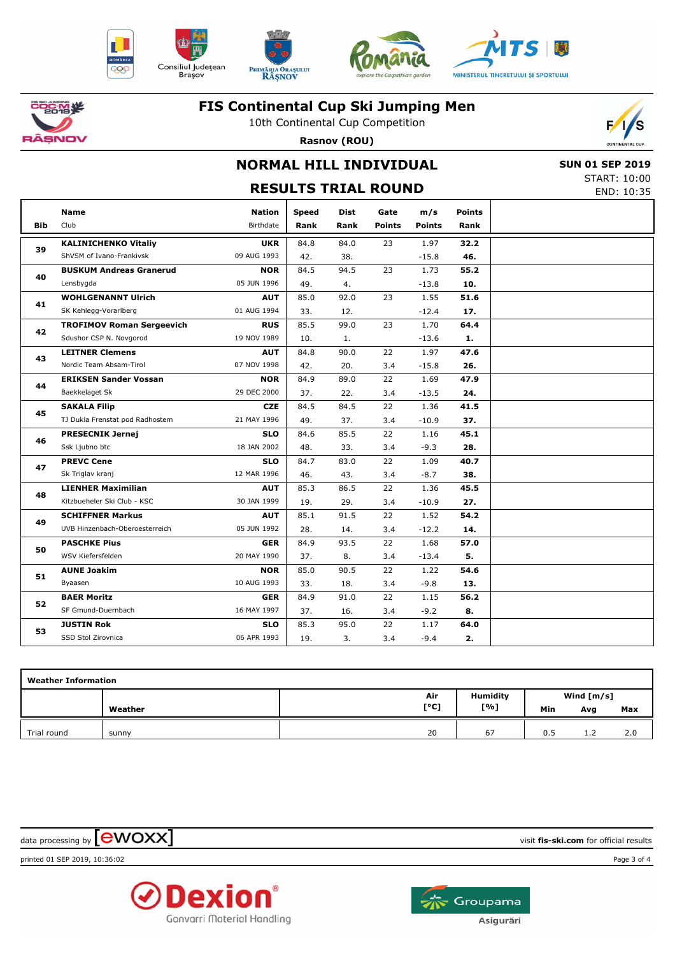











10th Continental Cup Competition **Rasnov (ROU)**



# **NORMAL HILL INDIVIDUAL**

 **SUN 01 SEP 2019** START: 10:00 END: 10:35

|     |                                  | JIMNI. 10.00                                                                                                                                                                                                                                                                                                                                                                                                                                                                                                                                                                                                                                                                                                                                                                                                                                                                                                                                                                                                                                                                                                                                                                                                                                                                                                                                                                                                                                                                                                                     |              |      |               |               |               |            |
|-----|----------------------------------|----------------------------------------------------------------------------------------------------------------------------------------------------------------------------------------------------------------------------------------------------------------------------------------------------------------------------------------------------------------------------------------------------------------------------------------------------------------------------------------------------------------------------------------------------------------------------------------------------------------------------------------------------------------------------------------------------------------------------------------------------------------------------------------------------------------------------------------------------------------------------------------------------------------------------------------------------------------------------------------------------------------------------------------------------------------------------------------------------------------------------------------------------------------------------------------------------------------------------------------------------------------------------------------------------------------------------------------------------------------------------------------------------------------------------------------------------------------------------------------------------------------------------------|--------------|------|---------------|---------------|---------------|------------|
|     |                                  |                                                                                                                                                                                                                                                                                                                                                                                                                                                                                                                                                                                                                                                                                                                                                                                                                                                                                                                                                                                                                                                                                                                                                                                                                                                                                                                                                                                                                                                                                                                                  |              |      |               |               |               | END: 10:35 |
|     | <b>Name</b>                      | <b>Nation</b>                                                                                                                                                                                                                                                                                                                                                                                                                                                                                                                                                                                                                                                                                                                                                                                                                                                                                                                                                                                                                                                                                                                                                                                                                                                                                                                                                                                                                                                                                                                    | <b>Speed</b> | Dist | Gate          | m/s           | <b>Points</b> |            |
| Bib | Club                             | Birthdate                                                                                                                                                                                                                                                                                                                                                                                                                                                                                                                                                                                                                                                                                                                                                                                                                                                                                                                                                                                                                                                                                                                                                                                                                                                                                                                                                                                                                                                                                                                        | Rank         | Rank | <b>Points</b> | <b>Points</b> | Rank          |            |
|     | <b>KALINICHENKO Vitaliy</b>      | <b>UKR</b>                                                                                                                                                                                                                                                                                                                                                                                                                                                                                                                                                                                                                                                                                                                                                                                                                                                                                                                                                                                                                                                                                                                                                                                                                                                                                                                                                                                                                                                                                                                       | 84.8         | 84.0 | 23            | 1.97          | 32.2          |            |
| 39  | ShVSM of Ivano-Frankivsk         | <b>RESULTS TRIAL ROUND</b><br>09 AUG 1993<br>$-15.8$<br>46.<br>42.<br>38.<br>1.73<br>84.5<br>94.5<br>23<br>55.2<br><b>NOR</b><br>05 JUN 1996<br>49.<br>$-13.8$<br>10.<br>4.<br>23<br>1.55<br><b>AUT</b><br>85.0<br>92.0<br>51.6<br>01 AUG 1994<br>33.<br>12.<br>$-12.4$<br>17.<br><b>RUS</b><br>85.5<br>99.0<br>23<br>1.70<br>64.4<br>19 NOV 1989<br>$-13.6$<br>10.<br>1.<br>1.<br>22<br>84.8<br>90.0<br>1.97<br>47.6<br><b>AUT</b><br>07 NOV 1998<br>42.<br>20.<br>3.4<br>$-15.8$<br>26.<br><b>NOR</b><br>84.9<br>89.0<br>22<br>1.69<br>47.9<br>29 DEC 2000<br>$-13.5$<br>37.<br>22.<br>3.4<br>24.<br>84.5<br>84.5<br>22<br>1.36<br><b>CZE</b><br>41.5<br>21 MAY 1996<br>49.<br>37.<br>3.4<br>$-10.9$<br>37.<br>85.5<br>22<br>45.1<br><b>SLO</b><br>84.6<br>1.16<br>18 JAN 2002<br>48.<br>33.<br>3.4<br>$-9.3$<br>28.<br><b>SLO</b><br>84.7<br>83.0<br>22<br>40.7<br>1.09<br>12 MAR 1996<br>43.<br>$-8.7$<br>38.<br>46.<br>3.4<br>85.3<br>86.5<br>22<br>1.36<br><b>AUT</b><br>45.5<br>30 JAN 1999<br>19.<br>29.<br>3.4<br>$-10.9$<br>27.<br>1.52<br><b>AUT</b><br>85.1<br>91.5<br>22<br>54.2<br>05 JUN 1992<br>$-12.2$<br>28.<br>14.<br>3.4<br>14.<br>84.9<br>93.5<br>22<br>1.68<br>57.0<br><b>GER</b><br>20 MAY 1990<br>37.<br>8.<br>3.4<br>5.<br>$-13.4$<br>85.0<br>90.5<br>22<br>1.22<br>54.6<br><b>NOR</b><br>10 AUG 1993<br>33.<br>18.<br>3.4<br>$-9.8$<br>13.<br>84.9<br>91.0<br>22<br>56.2<br><b>GER</b><br>1.15<br>16 MAY 1997<br>$-9.2$<br>8.<br>37.<br>16.<br>3.4<br>22<br>85.3<br>95.0<br><b>SLO</b><br>1.17<br>64.0 |              |      |               |               |               |            |
| 40  | <b>BUSKUM Andreas Granerud</b>   |                                                                                                                                                                                                                                                                                                                                                                                                                                                                                                                                                                                                                                                                                                                                                                                                                                                                                                                                                                                                                                                                                                                                                                                                                                                                                                                                                                                                                                                                                                                                  |              |      |               |               |               |            |
|     | Lensbygda                        |                                                                                                                                                                                                                                                                                                                                                                                                                                                                                                                                                                                                                                                                                                                                                                                                                                                                                                                                                                                                                                                                                                                                                                                                                                                                                                                                                                                                                                                                                                                                  |              |      |               |               |               |            |
|     | <b>WOHLGENANNT Ulrich</b>        |                                                                                                                                                                                                                                                                                                                                                                                                                                                                                                                                                                                                                                                                                                                                                                                                                                                                                                                                                                                                                                                                                                                                                                                                                                                                                                                                                                                                                                                                                                                                  |              |      |               |               |               |            |
| 41  | SK Kehlegg-Vorarlberg            |                                                                                                                                                                                                                                                                                                                                                                                                                                                                                                                                                                                                                                                                                                                                                                                                                                                                                                                                                                                                                                                                                                                                                                                                                                                                                                                                                                                                                                                                                                                                  |              |      |               |               |               |            |
|     | <b>TROFIMOV Roman Sergeevich</b> |                                                                                                                                                                                                                                                                                                                                                                                                                                                                                                                                                                                                                                                                                                                                                                                                                                                                                                                                                                                                                                                                                                                                                                                                                                                                                                                                                                                                                                                                                                                                  |              |      |               |               |               |            |
| 42  | Sdushor CSP N. Novgorod          |                                                                                                                                                                                                                                                                                                                                                                                                                                                                                                                                                                                                                                                                                                                                                                                                                                                                                                                                                                                                                                                                                                                                                                                                                                                                                                                                                                                                                                                                                                                                  |              |      |               |               |               |            |
|     | <b>LEITNER Clemens</b>           |                                                                                                                                                                                                                                                                                                                                                                                                                                                                                                                                                                                                                                                                                                                                                                                                                                                                                                                                                                                                                                                                                                                                                                                                                                                                                                                                                                                                                                                                                                                                  |              |      |               |               |               |            |
| 43  | Nordic Team Absam-Tirol          |                                                                                                                                                                                                                                                                                                                                                                                                                                                                                                                                                                                                                                                                                                                                                                                                                                                                                                                                                                                                                                                                                                                                                                                                                                                                                                                                                                                                                                                                                                                                  |              |      |               |               |               |            |
|     | <b>ERIKSEN Sander Vossan</b>     |                                                                                                                                                                                                                                                                                                                                                                                                                                                                                                                                                                                                                                                                                                                                                                                                                                                                                                                                                                                                                                                                                                                                                                                                                                                                                                                                                                                                                                                                                                                                  |              |      |               |               |               |            |
| 44  | Baekkelaget Sk                   |                                                                                                                                                                                                                                                                                                                                                                                                                                                                                                                                                                                                                                                                                                                                                                                                                                                                                                                                                                                                                                                                                                                                                                                                                                                                                                                                                                                                                                                                                                                                  |              |      |               |               |               |            |
| 45  | <b>SAKALA Filip</b>              |                                                                                                                                                                                                                                                                                                                                                                                                                                                                                                                                                                                                                                                                                                                                                                                                                                                                                                                                                                                                                                                                                                                                                                                                                                                                                                                                                                                                                                                                                                                                  |              |      |               |               |               |            |
|     | TJ Dukla Frenstat pod Radhostem  |                                                                                                                                                                                                                                                                                                                                                                                                                                                                                                                                                                                                                                                                                                                                                                                                                                                                                                                                                                                                                                                                                                                                                                                                                                                                                                                                                                                                                                                                                                                                  |              |      |               |               |               |            |
|     | <b>PRESECNIK Jernej</b>          |                                                                                                                                                                                                                                                                                                                                                                                                                                                                                                                                                                                                                                                                                                                                                                                                                                                                                                                                                                                                                                                                                                                                                                                                                                                                                                                                                                                                                                                                                                                                  |              |      |               |               |               |            |
| 46  | Ssk Ljubno btc                   |                                                                                                                                                                                                                                                                                                                                                                                                                                                                                                                                                                                                                                                                                                                                                                                                                                                                                                                                                                                                                                                                                                                                                                                                                                                                                                                                                                                                                                                                                                                                  |              |      |               |               |               |            |
| 47  | <b>PREVC Cene</b>                |                                                                                                                                                                                                                                                                                                                                                                                                                                                                                                                                                                                                                                                                                                                                                                                                                                                                                                                                                                                                                                                                                                                                                                                                                                                                                                                                                                                                                                                                                                                                  |              |      |               |               |               |            |
|     | Sk Triglav kranj                 |                                                                                                                                                                                                                                                                                                                                                                                                                                                                                                                                                                                                                                                                                                                                                                                                                                                                                                                                                                                                                                                                                                                                                                                                                                                                                                                                                                                                                                                                                                                                  |              |      |               |               |               |            |
| 48  | <b>LIENHER Maximilian</b>        |                                                                                                                                                                                                                                                                                                                                                                                                                                                                                                                                                                                                                                                                                                                                                                                                                                                                                                                                                                                                                                                                                                                                                                                                                                                                                                                                                                                                                                                                                                                                  |              |      |               |               |               |            |
|     | Kitzbueheler Ski Club - KSC      |                                                                                                                                                                                                                                                                                                                                                                                                                                                                                                                                                                                                                                                                                                                                                                                                                                                                                                                                                                                                                                                                                                                                                                                                                                                                                                                                                                                                                                                                                                                                  |              |      |               |               |               |            |
|     | <b>SCHIFFNER Markus</b>          |                                                                                                                                                                                                                                                                                                                                                                                                                                                                                                                                                                                                                                                                                                                                                                                                                                                                                                                                                                                                                                                                                                                                                                                                                                                                                                                                                                                                                                                                                                                                  |              |      |               |               |               |            |
| 49  | UVB Hinzenbach-Oberoesterreich   |                                                                                                                                                                                                                                                                                                                                                                                                                                                                                                                                                                                                                                                                                                                                                                                                                                                                                                                                                                                                                                                                                                                                                                                                                                                                                                                                                                                                                                                                                                                                  |              |      |               |               |               |            |
| 50  | <b>PASCHKE Pius</b>              |                                                                                                                                                                                                                                                                                                                                                                                                                                                                                                                                                                                                                                                                                                                                                                                                                                                                                                                                                                                                                                                                                                                                                                                                                                                                                                                                                                                                                                                                                                                                  |              |      |               |               |               |            |
|     | WSV Kiefersfelden                |                                                                                                                                                                                                                                                                                                                                                                                                                                                                                                                                                                                                                                                                                                                                                                                                                                                                                                                                                                                                                                                                                                                                                                                                                                                                                                                                                                                                                                                                                                                                  |              |      |               |               |               |            |
| 51  | <b>AUNE Joakim</b>               |                                                                                                                                                                                                                                                                                                                                                                                                                                                                                                                                                                                                                                                                                                                                                                                                                                                                                                                                                                                                                                                                                                                                                                                                                                                                                                                                                                                                                                                                                                                                  |              |      |               |               |               |            |
|     | Byaasen                          |                                                                                                                                                                                                                                                                                                                                                                                                                                                                                                                                                                                                                                                                                                                                                                                                                                                                                                                                                                                                                                                                                                                                                                                                                                                                                                                                                                                                                                                                                                                                  |              |      |               |               |               |            |
| 52  | <b>BAER Moritz</b>               |                                                                                                                                                                                                                                                                                                                                                                                                                                                                                                                                                                                                                                                                                                                                                                                                                                                                                                                                                                                                                                                                                                                                                                                                                                                                                                                                                                                                                                                                                                                                  |              |      |               |               |               |            |
|     | SF Gmund-Duernbach               |                                                                                                                                                                                                                                                                                                                                                                                                                                                                                                                                                                                                                                                                                                                                                                                                                                                                                                                                                                                                                                                                                                                                                                                                                                                                                                                                                                                                                                                                                                                                  |              |      |               |               |               |            |
| 53  | <b>JUSTIN Rok</b>                |                                                                                                                                                                                                                                                                                                                                                                                                                                                                                                                                                                                                                                                                                                                                                                                                                                                                                                                                                                                                                                                                                                                                                                                                                                                                                                                                                                                                                                                                                                                                  |              |      |               |               |               |            |
|     | SSD Stol Zirovnica               | 06 APR 1993                                                                                                                                                                                                                                                                                                                                                                                                                                                                                                                                                                                                                                                                                                                                                                                                                                                                                                                                                                                                                                                                                                                                                                                                                                                                                                                                                                                                                                                                                                                      | 19.          | 3.   | 3.4           | $-9.4$        | 2.            |            |

| <b>Weather Information</b> |         |      |                 |     |              |     |
|----------------------------|---------|------|-----------------|-----|--------------|-----|
|                            |         | Air  | <b>Humidity</b> |     | Wind $[m/s]$ |     |
|                            | Weather | [°C] | [%]             | Min | Avg          | Max |
| Trial round                | sunny   | 20   | 67              | 0.5 | 1.2          | 2.0 |

 $\alpha$  data processing by  $\boxed{\text{ewOX}}$ 

printed 01 SEP 2019, 10:36:02 Page 3 of 4